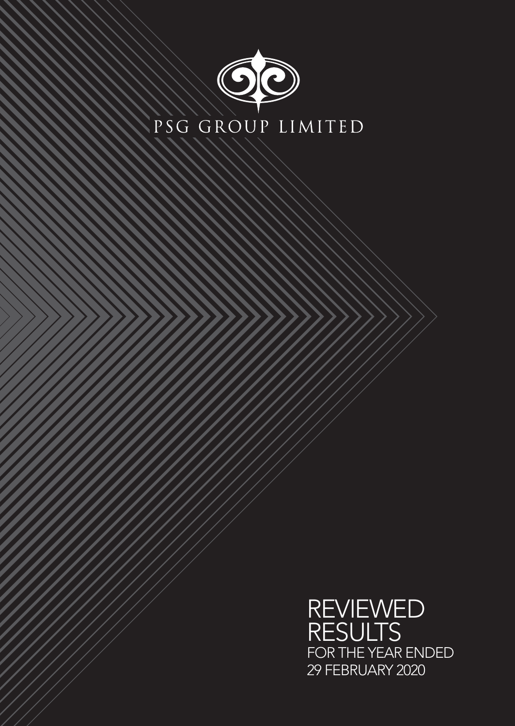

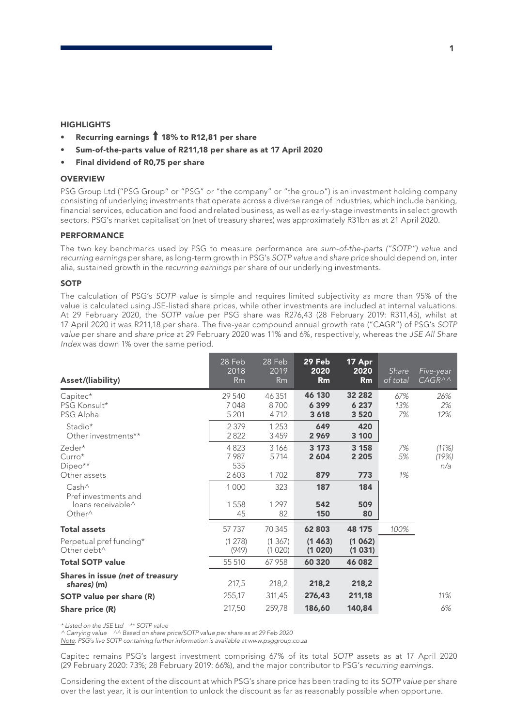#### **HIGHLIGHTS**

- Recurring earnings  $\hat{\textbf{T}}$  18% to R12,81 per share
- Sum-of-the-parts value of R211,18 per share as at 17 April 2020
- Final dividend of R0,75 per share

### **OVERVIEW**

PSG Group Ltd ("PSG Group" or "PSG" or "the company" or "the group") is an investment holding company consisting of underlying investments that operate across a diverse range of industries, which include banking, financial services, education and food and related business, as well as early-stage investments in select growth sectors. PSG's market capitalisation (net of treasury shares) was approximately R31bn as at 21 April 2020.

### PERFORMANCE

The two key benchmarks used by PSG to measure performance are *sum-of-the-parts ("SOTP") value* and *recurring earnings* per share, as long-term growth in PSG's *SOTP value* and *share price* should depend on, inter alia, sustained growth in the *recurring earnings* per share of our underlying investments.

#### **SOTP**

The calculation of PSG's *SOTP value* is simple and requires limited subjectivity as more than 95% of the value is calculated using JSE-listed share prices, while other investments are included at internal valuations. At 29 February 2020, the *SOTP value* per PSG share was R276,43 (28 February 2019: R311,45), whilst at 17 April 2020 it was R211,18 per share. The five-year compound annual growth rate ("CAGR") of PSG's *SOTP value* per share and *share price* at 29 February 2020 was 11% and 6%, respectively, whereas the *JSE All Share Index* was down 1% over the same period.

| Asset/(liability)                                                                                | 28 Feb<br>2018<br><b>Rm</b> | 28 Feb<br>2019<br>Rm         | 29 Feb<br>2020<br>Rm     | 17 Apr<br>2020<br>Rm         | Share<br>of total | Five-year<br>$CAGR^{\wedge}\wedge$ |
|--------------------------------------------------------------------------------------------------|-----------------------------|------------------------------|--------------------------|------------------------------|-------------------|------------------------------------|
| Capitec*<br>PSG Konsult*<br>PSG Alpha                                                            | 29 540<br>7048<br>5 2 0 1   | 46 351<br>8700<br>4712       | 46 130<br>6399<br>3 6 18 | 32 282<br>6 2 3 7<br>3 5 2 0 | 67%<br>13%<br>7%  | 26%<br>2%<br>12%                   |
| Stadio*<br>Other investments**                                                                   | 2 3 7 9<br>2822             | 1253<br>3459                 | 649<br>2969              | 420<br>3 100                 |                   |                                    |
| Zeder*<br>$Curro*$<br>$Dipeo**$                                                                  | 4823<br>7987<br>535         | 3 1 6 6<br>5714              | 3 1 7 3<br>2 6 0 4       | 3 158<br>2 2 0 5             | 7%<br>5%          | (11%)<br>(19%)<br>n/a              |
| Other assets<br>Cash <sup>^</sup><br>Pref investments and<br>loans receivable^<br>Other $\wedge$ | 2603<br>1000<br>1558<br>45  | 1702<br>323<br>1 2 9 7<br>82 | 879<br>187<br>542<br>150 | 773<br>184<br>509<br>80      | 1%                |                                    |
| <b>Total assets</b>                                                                              | 57 7 37                     | 70 345                       | 62 803                   | 48 175                       | 100%              |                                    |
| Perpetual pref funding*<br>Other debt <sup>^</sup>                                               | (1 278)<br>(949)            | (1367)<br>(1020)             | (1463)<br>(1020)         | (1062)<br>(1031)             |                   |                                    |
| <b>Total SOTP value</b>                                                                          | 55 510                      | 67958                        | 60 320                   | 46 082                       |                   |                                    |
| Shares in issue (net of treasury<br>shares) (m)                                                  | 217,5                       | 218,2                        | 218,2                    | 218,2                        |                   |                                    |
| <b>SOTP</b> value per share (R)                                                                  | 255,17                      | 311,45                       | 276,43                   | 211,18                       |                   | 11%                                |
| Share price (R)                                                                                  | 217,50                      | 259,78                       | 186,60                   | 140,84                       |                   | 6%                                 |

*\* Listed on the JSE Ltd \*\* SOTP value*

*^ Carrying value ^^ Based on share price/SOTP value per share as at 29 Feb 2020*

*Note: PSG's live SOTP containing further information is available at www.psggroup.co.za*

Capitec remains PSG's largest investment comprising 67% of its total *SOTP* assets as at 17 April 2020 (29 February 2020: 73%; 28 February 2019: 66%), and the major contributor to PSG's *recurring earnings*.

Considering the extent of the discount at which PSG's share price has been trading to its *SOTP value* per share over the last year, it is our intention to unlock the discount as far as reasonably possible when opportune.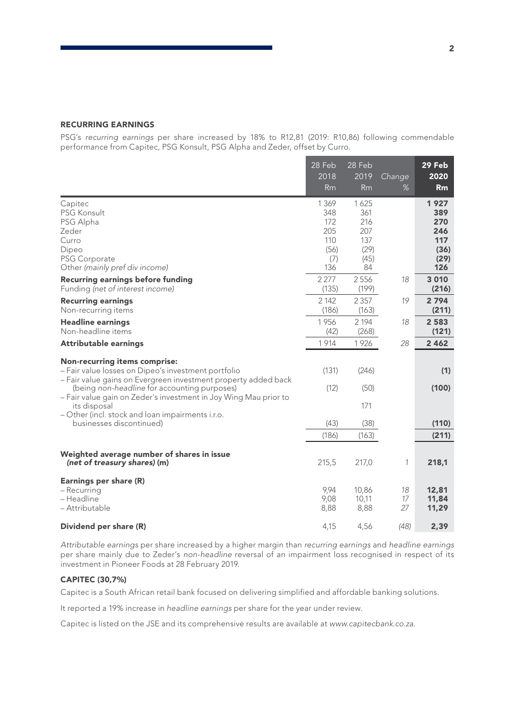### RECURRING EARNINGS

PSG's *recurring earnings* per share increased by 18% to R12,81 (2019: R10,86) following commendable performance from Capitec, PSG Konsult, PSG Alpha and Zeder, offset by Curro.

|                                                                                                                                                                                                                                                                                   | 28 Feb<br>2018<br>Rm                                      | 28 Feb<br>2019<br><b>Rm</b>                            | Change<br>%    | 29 Feb<br>2020<br>Rm                                    |
|-----------------------------------------------------------------------------------------------------------------------------------------------------------------------------------------------------------------------------------------------------------------------------------|-----------------------------------------------------------|--------------------------------------------------------|----------------|---------------------------------------------------------|
| Capitec<br><b>PSG Konsult</b><br>PSG Alpha<br>Zeder<br>Curro<br>Dipeo<br><b>PSG Corporate</b><br>Other (mainly pref div income)                                                                                                                                                   | 1 3 6 9<br>348<br>172<br>205<br>110<br>(56)<br>(7)<br>136 | 1625<br>361<br>216<br>207<br>137<br>(29)<br>(45)<br>84 |                | 1927<br>389<br>270<br>246<br>117<br>(36)<br>(29)<br>126 |
| <b>Recurring earnings before funding</b><br>Funding (net of interest income)                                                                                                                                                                                                      | 2 2 7 7<br>(135)                                          | 2556<br>(199)                                          | 18             | 3 0 1 0<br>(216)                                        |
| <b>Recurring earnings</b><br>Non-recurring items                                                                                                                                                                                                                                  | 2 1 4 2<br>(186)                                          | 2 3 5 7<br>(163)                                       | 19             | 2794<br>(211)                                           |
| <b>Headline earnings</b><br>Non-headline items                                                                                                                                                                                                                                    | 1956<br>(42)                                              | 2 1 9 4<br>(268)                                       | 18             | 2 5 8 3<br>(121)                                        |
| <b>Attributable earnings</b>                                                                                                                                                                                                                                                      | 1914                                                      | 1926                                                   | 28             | 2 4 6 2                                                 |
| <b>Non-recurring items comprise:</b><br>- Fair value losses on Dipeo's investment portfolio<br>- Fair value gains on Evergreen investment property added back<br>(being non-headline for accounting purposes)<br>- Fair value gain on Zeder's investment in Joy Wing Mau prior to | (131)<br>(12)                                             | (246)<br>(50)                                          |                | (1)<br>(100)                                            |
| its disposal                                                                                                                                                                                                                                                                      |                                                           | 171                                                    |                |                                                         |
| - Other (incl. stock and loan impairments i.r.o.<br>businesses discontinued)                                                                                                                                                                                                      | (43)                                                      | (38)                                                   |                | (110)                                                   |
|                                                                                                                                                                                                                                                                                   | (186)                                                     | (163)                                                  |                | (211)                                                   |
| Weighted average number of shares in issue<br>(net of treasury shares) (m)                                                                                                                                                                                                        | 215,5                                                     | 217,0                                                  | 1              | 218,1                                                   |
| Earnings per share (R)<br>- Recurring<br>- Headline<br>– Attributable                                                                                                                                                                                                             | 9,94<br>9,08<br>8,88                                      | 10,86<br>10.11<br>8,88                                 | 18<br>17<br>27 | 12,81<br>11,84<br>11,29                                 |
| Dividend per share (R)                                                                                                                                                                                                                                                            | 4,15                                                      | 4,56                                                   | (48)           | 2,39                                                    |

*Attributable earnings* per share increased by a higher margin than *recurring earnings* and *headline earnings* per share mainly due to Zeder's *non-headline* reversal of an impairment loss recognised in respect of its investment in Pioneer Foods at 28 February 2019.

### CAPITEC (30,7%)

Capitec is a South African retail bank focused on delivering simplified and affordable banking solutions.

It reported a 19% increase in *headline earnings* per share for the year under review.

Capitec is listed on the JSE and its comprehensive results are available at *www.capitecbank.co.za*.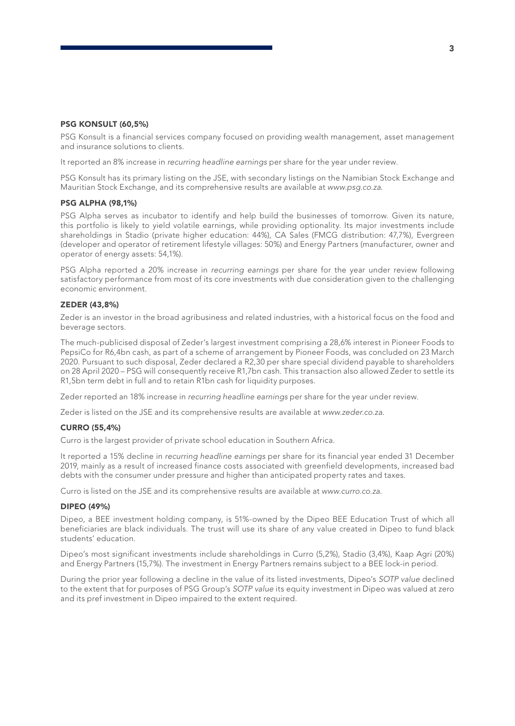### PSG KONSULT (60,5%)

PSG Konsult is a financial services company focused on providing wealth management, asset management and insurance solutions to clients.

It reported an 8% increase in *recurring headline earnings* per share for the year under review.

PSG Konsult has its primary listing on the JSE, with secondary listings on the Namibian Stock Exchange and Mauritian Stock Exchange, and its comprehensive results are available at *www.psg.co.za*.

#### PSG ALPHA (98,1%)

PSG Alpha serves as incubator to identify and help build the businesses of tomorrow. Given its nature, this portfolio is likely to yield volatile earnings, while providing optionality. Its major investments include shareholdings in Stadio (private higher education: 44%), CA Sales (FMCG distribution: 47,7%), Evergreen (developer and operator of retirement lifestyle villages: 50%) and Energy Partners (manufacturer, owner and operator of energy assets: 54,1%).

PSG Alpha reported a 20% increase in *recurring earnings* per share for the year under review following satisfactory performance from most of its core investments with due consideration given to the challenging economic environment.

#### ZEDER (43,8%)

Zeder is an investor in the broad agribusiness and related industries, with a historical focus on the food and beverage sectors.

The much-publicised disposal of Zeder's largest investment comprising a 28,6% interest in Pioneer Foods to PepsiCo for R6,4bn cash, as part of a scheme of arrangement by Pioneer Foods, was concluded on 23 March 2020. Pursuant to such disposal, Zeder declared a R2,30 per share special dividend payable to shareholders on 28 April 2020 – PSG will consequently receive R1,7bn cash. This transaction also allowed Zeder to settle its R1,5bn term debt in full and to retain R1bn cash for liquidity purposes.

Zeder reported an 18% increase in *recurring headline earnings* per share for the year under review.

Zeder is listed on the JSE and its comprehensive results are available at *www.zeder.co.za*.

#### CURRO (55,4%)

Curro is the largest provider of private school education in Southern Africa.

It reported a 15% decline in *recurring headline earnings* per share for its financial year ended 31 December 2019, mainly as a result of increased finance costs associated with greenfield developments, increased bad debts with the consumer under pressure and higher than anticipated property rates and taxes.

Curro is listed on the JSE and its comprehensive results are available at *www.curro.co.za*.

#### DIPEO (49%)

Dipeo, a BEE investment holding company, is 51%-owned by the Dipeo BEE Education Trust of which all beneficiaries are black individuals. The trust will use its share of any value created in Dipeo to fund black students' education.

Dipeo's most significant investments include shareholdings in Curro (5,2%), Stadio (3,4%), Kaap Agri (20%) and Energy Partners (15,7%). The investment in Energy Partners remains subject to a BEE lock-in period.

During the prior year following a decline in the value of its listed investments, Dipeo's *SOTP value* declined to the extent that for purposes of PSG Group's *SOTP value* its equity investment in Dipeo was valued at zero and its pref investment in Dipeo impaired to the extent required.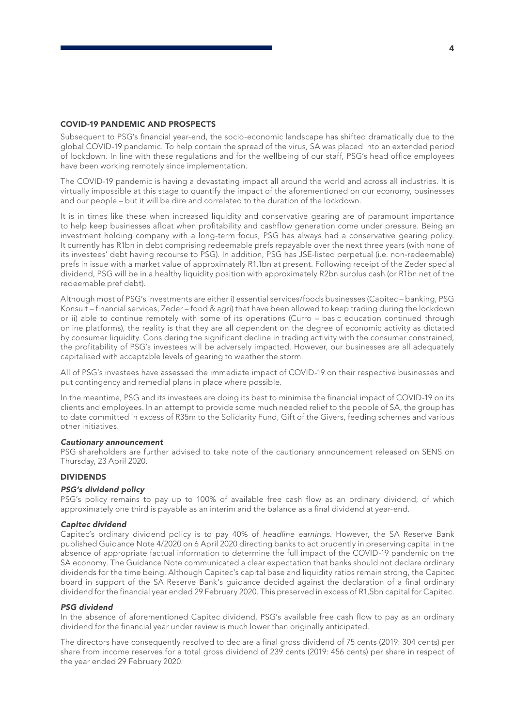### COVID-19 PANDEMIC AND PROSPECTS

Subsequent to PSG's financial year-end, the socio-economic landscape has shifted dramatically due to the global COVID-19 pandemic. To help contain the spread of the virus, SA was placed into an extended period of lockdown. In line with these regulations and for the wellbeing of our staff, PSG's head office employees have been working remotely since implementation.

The COVID-19 pandemic is having a devastating impact all around the world and across all industries. It is virtually impossible at this stage to quantify the impact of the aforementioned on our economy, businesses and our people – but it will be dire and correlated to the duration of the lockdown.

It is in times like these when increased liquidity and conservative gearing are of paramount importance to help keep businesses afloat when profitability and cashflow generation come under pressure. Being an investment holding company with a long-term focus, PSG has always had a conservative gearing policy. It currently has R1bn in debt comprising redeemable prefs repayable over the next three years (with none of its investees' debt having recourse to PSG). In addition, PSG has JSE-listed perpetual (i.e. non-redeemable) prefs in issue with a market value of approximately R1.1bn at present. Following receipt of the Zeder special dividend, PSG will be in a healthy liquidity position with approximately R2bn surplus cash (or R1bn net of the redeemable pref debt).

Although most of PSG's investments are either i) essential services/foods businesses (Capitec – banking, PSG Konsult – financial services, Zeder – food & agri) that have been allowed to keep trading during the lockdown or ii) able to continue remotely with some of its operations (Curro – basic education continued through online platforms), the reality is that they are all dependent on the degree of economic activity as dictated by consumer liquidity. Considering the significant decline in trading activity with the consumer constrained, the profitability of PSG's investees will be adversely impacted. However, our businesses are all adequately capitalised with acceptable levels of gearing to weather the storm.

All of PSG's investees have assessed the immediate impact of COVID-19 on their respective businesses and put contingency and remedial plans in place where possible.

In the meantime, PSG and its investees are doing its best to minimise the financial impact of COVID-19 on its clients and employees. In an attempt to provide some much needed relief to the people of SA, the group has to date committed in excess of R35m to the Solidarity Fund, Gift of the Givers, feeding schemes and various other initiatives.

### *Cautionary announcement*

PSG shareholders are further advised to take note of the cautionary announcement released on SENS on Thursday, 23 April 2020.

### DIVIDENDS

### *PSG's dividend policy*

PSG's policy remains to pay up to 100% of available free cash flow as an ordinary dividend, of which approximately one third is payable as an interim and the balance as a final dividend at year-end.

### *Capitec dividend*

Capitec's ordinary dividend policy is to pay 40% of *headline earnings*. However, the SA Reserve Bank published Guidance Note 4/2020 on 6 April 2020 directing banks to act prudently in preserving capital in the absence of appropriate factual information to determine the full impact of the COVID-19 pandemic on the SA economy. The Guidance Note communicated a clear expectation that banks should not declare ordinary dividends for the time being. Although Capitec's capital base and liquidity ratios remain strong, the Capitec board in support of the SA Reserve Bank's guidance decided against the declaration of a final ordinary dividend for the financial year ended 29 February 2020. This preserved in excess of R1,5bn capital for Capitec.

### *PSG dividend*

In the absence of aforementioned Capitec dividend, PSG's available free cash flow to pay as an ordinary dividend for the financial year under review is much lower than originally anticipated.

The directors have consequently resolved to declare a final gross dividend of 75 cents (2019: 304 cents) per share from income reserves for a total gross dividend of 239 cents (2019: 456 cents) per share in respect of the year ended 29 February 2020.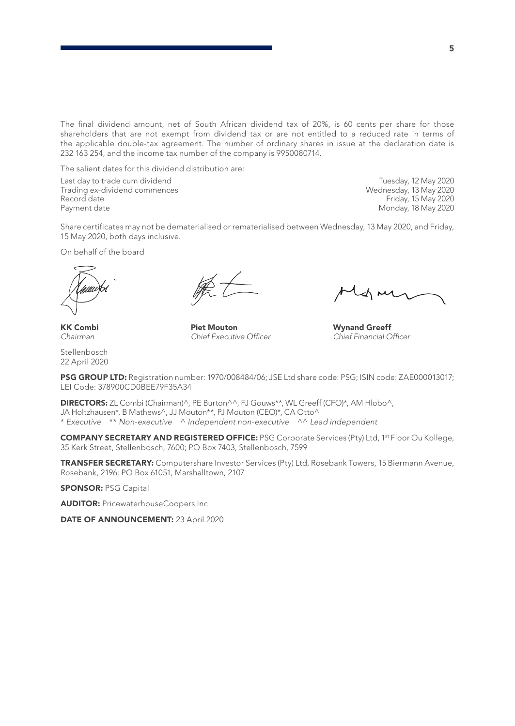The final dividend amount, net of South African dividend tax of 20%, is 60 cents per share for those shareholders that are not exempt from dividend tax or are not entitled to a reduced rate in terms of the applicable double-tax agreement. The number of ordinary shares in issue at the declaration date is 232 163 254, and the income tax number of the company is 9950080714.

The salient dates for this dividend distribution are:

Last day to trade cum dividend Tuesday, 12 May 2020 Trading ex-dividend commences<br>Record date Record date Friday, 15 May 2020<br>
Payment date Friday, 18 May 2020<br>
Monday, 18 May 2020

Monday, 18 May 2020

Share certificates may not be dematerialised or rematerialised between Wednesday, 13 May 2020, and Friday, 15 May 2020, both days inclusive.

On behalf of the board

**KK Combi Piet Mouton Wynand Greeff**<br>
Chairman Chief Executive Officer Chief Financial O

 $C$ *hief Financial Officer* 

Stellenbosch 22 April 2020

PSG GROUP LTD: Registration number: 1970/008484/06; JSE Ltd share code: PSG; ISIN code: ZAE000013017; LEI Code: 378900CD0BEE79F35A34

DIRECTORS: ZL Combi (Chairman)^, PE Burton^^, FJ Gouws\*\*, WL Greeff (CFO)\*, AM Hlobo^, JA Holtzhausen\*, B Mathews^, JJ Mouton\*\*, PJ Mouton (CEO)\*, CA Otto^ \* *Executive* \*\* *Non-executive* ^ *Independent non-executive* ^^ *Lead independent*

COMPANY SECRETARY AND REGISTERED OFFICE: PSG Corporate Services (Pty) Ltd, 1st Floor Ou Kollege, 35 Kerk Street, Stellenbosch, 7600; PO Box 7403, Stellenbosch, 7599

TRANSFER SECRETARY: Computershare Investor Services (Pty) Ltd, Rosebank Towers, 15 Biermann Avenue, Rosebank, 2196; PO Box 61051, Marshalltown, 2107

SPONSOR: PSG Capital

**AUDITOR: PricewaterhouseCoopers Inc** 

DATE OF ANNOUNCEMENT: 23 April 2020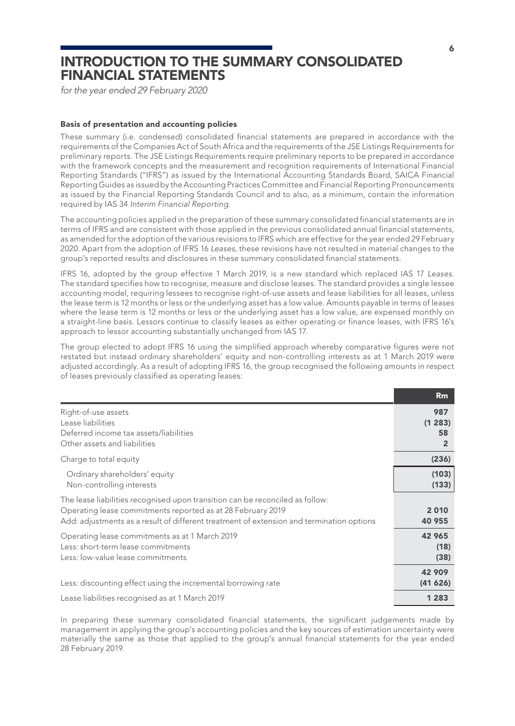### INTRODUCTION TO THE SUMMARY CONSOLIDATED FINANCIAL STATEMENTS

*for the year ended 29 February 2020*

### Basis of presentation and accounting policies

These summary (i.e. condensed) consolidated financial statements are prepared in accordance with the requirements of the Companies Act of South Africa and the requirements of the JSE Listings Requirements for preliminary reports. The JSE Listings Requirements require preliminary reports to be prepared in accordance with the framework concepts and the measurement and recognition requirements of International Financial Reporting Standards ("IFRS") as issued by the International Accounting Standards Board, SAICA Financial Reporting Guides as issued by the Accounting Practices Committee and Financial Reporting Pronouncements as issued by the Financial Reporting Standards Council and to also, as a minimum, contain the information required by IAS 34 *Interim Financial Reporting*.

The accounting policies applied in the preparation of these summary consolidated financial statements are in terms of IFRS and are consistent with those applied in the previous consolidated annual financial statements, as amended for the adoption of the various revisions to IFRS which are effective for the year ended 29 February 2020. Apart from the adoption of IFRS 16 *Leases*, these revisions have not resulted in material changes to the group's reported results and disclosures in these summary consolidated financial statements.

IFRS 16, adopted by the group effective 1 March 2019, is a new standard which replaced IAS 17 *Leases*. The standard specifies how to recognise, measure and disclose leases. The standard provides a single lessee accounting model, requiring lessees to recognise right-of-use assets and lease liabilities for all leases, unless the lease term is 12 months or less or the underlying asset has a low value. Amounts payable in terms of leases where the lease term is 12 months or less or the underlying asset has a low value, are expensed monthly on a straight-line basis. Lessors continue to classify leases as either operating or finance leases, with IFRS 16's approach to lessor accounting substantially unchanged from IAS 17.

The group elected to adopt IFRS 16 using the simplified approach whereby comparative figures were not restated but instead ordinary shareholders' equity and non-controlling interests as at 1 March 2019 were adjusted accordingly. As a result of adopting IFRS 16, the group recognised the following amounts in respect of leases previously classified as operating leases:

|                                                                                                                                                                                                                                          | Rm                                    |
|------------------------------------------------------------------------------------------------------------------------------------------------------------------------------------------------------------------------------------------|---------------------------------------|
| Right-of-use assets<br>Lease liabilities<br>Deferred income tax assets/liabilities<br>Other assets and liabilities                                                                                                                       | 987<br>(1283)<br>58<br>$\overline{2}$ |
| Charge to total equity                                                                                                                                                                                                                   | (236)                                 |
| Ordinary shareholders' equity<br>Non-controlling interests                                                                                                                                                                               | (103)<br>(133)                        |
| The lease liabilities recognised upon transition can be reconciled as follow:<br>Operating lease commitments reported as at 28 February 2019<br>Add: adjustments as a result of different treatment of extension and termination options | 2010<br>40 955                        |
| Operating lease commitments as at 1 March 2019<br>Less: short-term lease commitments<br>Less: low-value lease commitments                                                                                                                | 42 965<br>(18)<br>(38)                |
| Less: discounting effect using the incremental borrowing rate                                                                                                                                                                            | 42 909<br>(41626)                     |
| Lease liabilities recognised as at 1 March 2019                                                                                                                                                                                          | 1 2 8 3                               |

In preparing these summary consolidated financial statements, the significant judgements made by management in applying the group's accounting policies and the key sources of estimation uncertainty were materially the same as those that applied to the group's annual financial statements for the year ended 28 February 2019.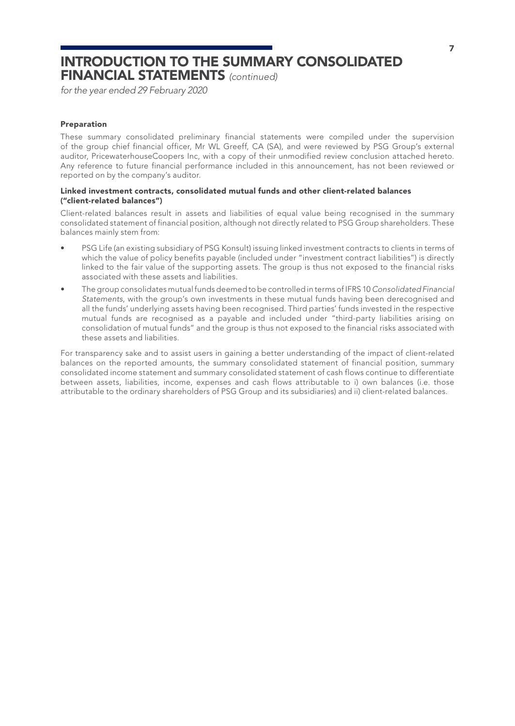### INTRODUCTION TO THE SUMMARY CONSOLIDATED FINANCIAL STATEMENTS *(continued)*

*for the year ended 29 February 2020*

#### Preparation

These summary consolidated preliminary financial statements were compiled under the supervision of the group chief financial officer, Mr WL Greeff, CA (SA), and were reviewed by PSG Group's external auditor, PricewaterhouseCoopers Inc, with a copy of their unmodified review conclusion attached hereto. Any reference to future financial performance included in this announcement, has not been reviewed or reported on by the company's auditor.

### Linked investment contracts, consolidated mutual funds and other client-related balances ("client-related balances")

Client-related balances result in assets and liabilities of equal value being recognised in the summary consolidated statement of financial position, although not directly related to PSG Group shareholders. These balances mainly stem from:

- PSG Life (an existing subsidiary of PSG Konsult) issuing linked investment contracts to clients in terms of which the value of policy benefits payable (included under "investment contract liabilities") is directly linked to the fair value of the supporting assets. The group is thus not exposed to the financial risks associated with these assets and liabilities.
- The group consolidates mutual funds deemed to be controlled in terms of IFRS 10 *Consolidated Financial Statements*, with the group's own investments in these mutual funds having been derecognised and all the funds' underlying assets having been recognised. Third parties' funds invested in the respective mutual funds are recognised as a payable and included under "third-party liabilities arising on consolidation of mutual funds" and the group is thus not exposed to the financial risks associated with these assets and liabilities.

For transparency sake and to assist users in gaining a better understanding of the impact of client-related balances on the reported amounts, the summary consolidated statement of financial position, summary consolidated income statement and summary consolidated statement of cash flows continue to differentiate between assets, liabilities, income, expenses and cash flows attributable to i) own balances (i.e. those attributable to the ordinary shareholders of PSG Group and its subsidiaries) and ii) client-related balances.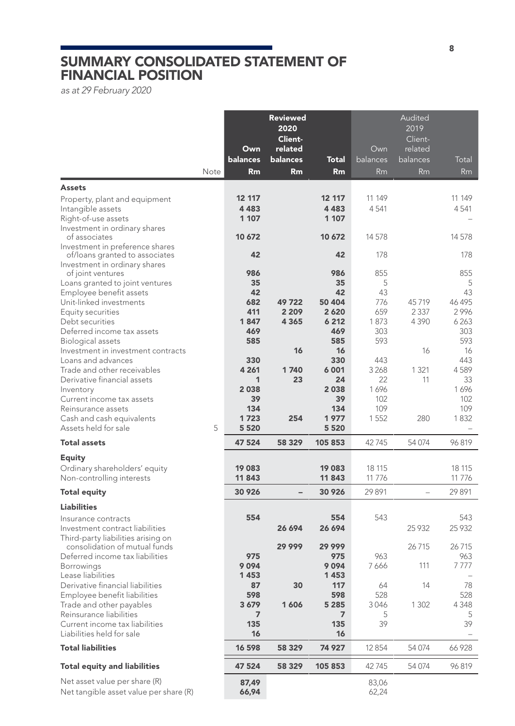### SUMMARY CONSOLIDATED STATEMENT OF FINANCIAL POSITION

*as at 29 February 2020*

|                                                                       |      | Own               | <b>Reviewed</b><br>2020<br>Client-<br>related |                | Own            | Audited<br>2019<br>Client-<br>related |                |
|-----------------------------------------------------------------------|------|-------------------|-----------------------------------------------|----------------|----------------|---------------------------------------|----------------|
|                                                                       |      | balances          | balances                                      | <b>Total</b>   | balances       | balances                              | Total          |
|                                                                       | Note | Rm                | Rm                                            | Rm             | <b>Rm</b>      | <b>Rm</b>                             | <b>Rm</b>      |
| <b>Assets</b>                                                         |      |                   |                                               |                |                |                                       |                |
| Property, plant and equipment<br>Intangible assets                    |      | 12 117<br>4 4 8 3 |                                               | 12 117<br>4483 | 11 149<br>4541 |                                       | 11 149<br>4541 |
| Right-of-use assets                                                   |      | 1 107             |                                               | 1 107          |                |                                       |                |
| Investment in ordinary shares                                         |      |                   |                                               |                |                |                                       |                |
| of associates<br>Investment in preference shares                      |      | 10 672            |                                               | 10 672         | 14578          |                                       | 14 578         |
| of/loans granted to associates                                        |      | 42                |                                               | 42             | 178            |                                       | 178            |
| Investment in ordinary shares                                         |      |                   |                                               |                |                |                                       |                |
| of joint ventures<br>Loans granted to joint ventures                  |      | 986<br>35         |                                               | 986<br>35      | 855<br>5       |                                       | 855<br>5       |
| Employee benefit assets                                               |      | 42                |                                               | 42             | 43             |                                       | 43             |
| Unit-linked investments                                               |      | 682               | 49722                                         | 50 404         | 776            | 45719                                 | 46 495         |
| Equity securities                                                     |      | 411               | 2 2 0 9                                       | 2 6 2 0        | 659            | 2 3 3 7                               | 2996           |
| Debt securities<br>Deferred income tax assets                         |      | 1847<br>469       | 4 3 6 5                                       | 6 2 1 2<br>469 | 1873<br>303    | 4 3 9 0                               | 6263<br>303    |
| Biological assets                                                     |      | 585               |                                               | 585            | 593            |                                       | 593            |
| Investment in investment contracts                                    |      |                   | 16                                            | 16             |                | 16                                    | 16             |
| Loans and advances                                                    |      | 330               |                                               | 330            | 443            |                                       | 443            |
| Trade and other receivables<br>Derivative financial assets            |      | 4 2 6 1<br>1      | 1740<br>23                                    | 6001<br>24     | 3 2 6 8<br>22  | 1 3 2 1<br>11                         | 4589<br>33     |
| Inventory                                                             |      | 2038              |                                               | 2038           | 1696           |                                       | 1696           |
| Current income tax assets                                             |      | 39                |                                               | 39             | 102            |                                       | 102            |
| Reinsurance assets                                                    |      | 134               |                                               | 134            | 109            |                                       | 109            |
| Cash and cash equivalents<br>Assets held for sale                     | 5    | 1723<br>5 5 2 0   | 254                                           | 1977<br>5 5 20 | 1552           | 280                                   | 1832           |
| <b>Total assets</b>                                                   |      | 47 524            | 58 329                                        | 105 853        | 42745          | 54 074                                | 96819          |
| <b>Equity</b>                                                         |      |                   |                                               |                |                |                                       |                |
| Ordinary shareholders' equity                                         |      | 19 083            |                                               | 19083          | 18 11 5        |                                       | 18 115         |
| Non-controlling interests                                             |      | 11843             |                                               | 11 843         | 11 7 7 6       |                                       | 11776          |
| <b>Total equity</b>                                                   |      | 30 9 26           | $\overline{\phantom{0}}$                      | 30 926         | 29891          | $\overline{a}$                        | 29891          |
| <b>Liabilities</b>                                                    |      |                   |                                               |                |                |                                       |                |
| Insurance contracts                                                   |      | 554               |                                               | 554            | 543            |                                       | 543            |
| Investment contract liabilities<br>Third-party liabilities arising on |      |                   | 26 694                                        | 26 694         |                | 25 9 32                               | 25 9 32        |
| consolidation of mutual funds                                         |      |                   | 29 999                                        | 29 999         |                | 26715                                 | 26715          |
| Deferred income tax liabilities                                       |      | 975               |                                               | 975            | 963            |                                       | 963            |
| <b>Borrowings</b>                                                     |      | 9094              |                                               | 9094           | 7666           | 111                                   | 7777           |
| Lease liabilities<br>Derivative financial liabilities                 |      | 1453<br>87        | 30                                            | 1453<br>117    | 64             | 14                                    | 78             |
| Employee benefit liabilities                                          |      | 598               |                                               | 598            | 528            |                                       | 528            |
| Trade and other payables                                              |      | 3679              | 1606                                          | 5 2 8 5        | 3046           | 1 3 0 2                               | 4348           |
| Reinsurance liabilities<br>Current income tax liabilities             |      | $\overline{ }$    |                                               | 7              | 5              |                                       | 5              |
| Liabilities held for sale                                             |      | 135<br>16         |                                               | 135<br>16      | 39             |                                       | 39             |
| <b>Total liabilities</b>                                              |      | 16 598            | 58 329                                        | 74 927         | 12854          | 54 074                                | 66928          |
| <b>Total equity and liabilities</b>                                   |      | 47 524            | 58 329                                        | 105 853        | 42745          | 54 074                                | 96819          |
| Net asset value per share (R)                                         |      | 87.49             |                                               |                | 83,06          |                                       |                |
| Net tangible asset value per share (R)                                |      | 66,94             |                                               |                | 62,24          |                                       |                |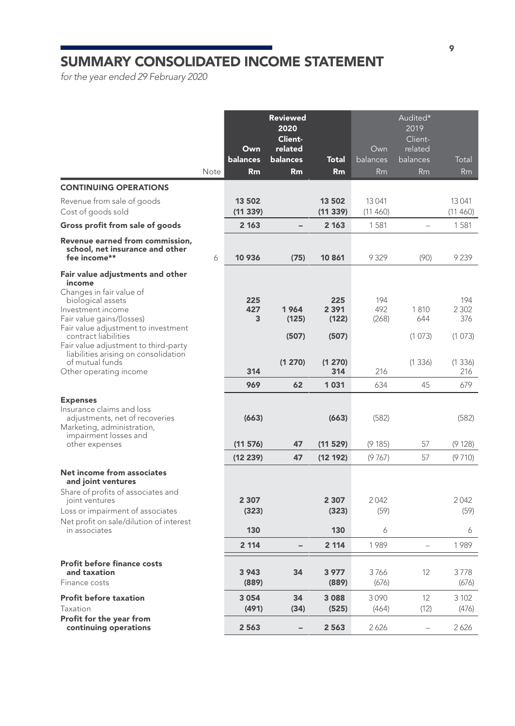## SUMMARY CONSOLIDATED INCOME STATEMENT

*for the year ended 29 February 2020*

|                                                                                                                                                  | Note | Own<br>balances<br>Rm | <b>Reviewed</b><br>2020<br>Client-<br>related<br>balances<br>Rm | <b>Total</b><br>Rm      | Own<br>balances<br>Rm | Audited*<br>2019<br>Client-<br>related<br>balances<br>Rm | Total<br><b>Rm</b>    |
|--------------------------------------------------------------------------------------------------------------------------------------------------|------|-----------------------|-----------------------------------------------------------------|-------------------------|-----------------------|----------------------------------------------------------|-----------------------|
| <b>CONTINUING OPERATIONS</b>                                                                                                                     |      |                       |                                                                 |                         |                       |                                                          |                       |
| Revenue from sale of goods<br>Cost of goods sold                                                                                                 |      | 13 502<br>(11339)     |                                                                 | 13 502<br>(11339)       | 13041<br>(11460)      |                                                          | 13 041<br>(11460)     |
| Gross profit from sale of goods                                                                                                                  |      | 2 1 6 3               |                                                                 | 2 1 6 3                 | 1581                  | $\overline{\phantom{0}}$                                 | 1581                  |
| Revenue earned from commission,<br>school, net insurance and other<br>fee income**                                                               | 6    | 10 936                | (75)                                                            | 10 861                  | 9329                  | (90)                                                     | 9239                  |
| Fair value adjustments and other                                                                                                                 |      |                       |                                                                 |                         |                       |                                                          |                       |
| income<br>Changes in fair value of<br>biological assets<br>Investment income<br>Fair value gains/(losses)<br>Fair value adjustment to investment |      | 225<br>427<br>3       | 1964<br>(125)                                                   | 225<br>2 3 9 1<br>(122) | 194<br>492<br>(268)   | 1810<br>644                                              | 194<br>2 3 0 2<br>376 |
| contract liabilities<br>Fair value adjustment to third-party                                                                                     |      |                       | (507)                                                           | (507)                   |                       | (1073)                                                   | (1073)                |
| liabilities arising on consolidation<br>of mutual funds<br>Other operating income                                                                |      | 314                   | (1 270)                                                         | (1 270)<br>314          | 216                   | (1336)                                                   | (1336)<br>216         |
|                                                                                                                                                  |      | 969                   | 62                                                              | 1031                    | 634                   | 45                                                       | 679                   |
| <b>Expenses</b><br>Insurance claims and loss<br>adjustments, net of recoveries<br>Marketing, administration,<br>impairment losses and            |      | (663)                 |                                                                 | (663)                   | (582)                 |                                                          | (582)                 |
| other expenses                                                                                                                                   |      | (11 576)              | 47                                                              | (11 529)                | (9185)                | 57                                                       | (9128)                |
|                                                                                                                                                  |      | (12 239)              | 47                                                              | (12 192)                | (9767)                | 57                                                       | (9710)                |
| Net income from associates<br>and joint ventures                                                                                                 |      |                       |                                                                 |                         |                       |                                                          |                       |
| Share of profits of associates and<br>joint ventures<br>Loss or impairment of associates<br>Net profit on sale/dilution of interest              |      | 2 3 0 7<br>(323)      |                                                                 | 2 3 0 7<br>(323)        | 2042<br>(59)          |                                                          | 2042<br>(59)          |
| in associates                                                                                                                                    |      | 130                   |                                                                 | 130                     | 6                     |                                                          | 6                     |
|                                                                                                                                                  |      | 2 1 1 4               |                                                                 | 2 1 1 4                 | 1989                  | $\overline{\phantom{0}}$                                 | 1989                  |
| <b>Profit before finance costs</b><br>and taxation<br>Finance costs                                                                              |      | 3943<br>(889)         | 34                                                              | 3 9 7 7<br>(889)        | 3766<br>(676)         | 12                                                       | 3778<br>(676)         |
| <b>Profit before taxation</b><br>Taxation                                                                                                        |      | 3054                  | 34<br>(34)                                                      | 3088                    | 3090                  | 12<br>(12)                                               | 3 1 0 2               |
| Profit for the year from<br>continuing operations                                                                                                |      | (491)<br>2563         | $\overline{\phantom{0}}$                                        | (525)<br>2563           | (464)<br>2626         | $\overline{a}$                                           | (476)<br>2626         |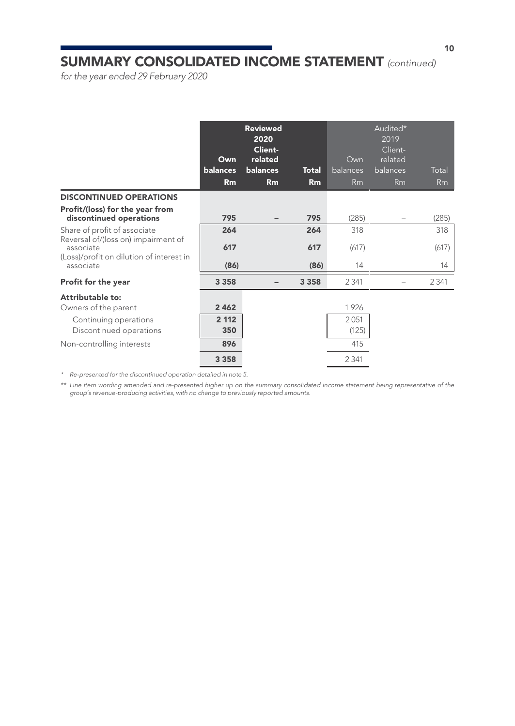### SUMMARY CONSOLIDATED INCOME STATEMENT *(continued)*

*for the year ended 29 February 2020*

|                                                                                                                              | Own<br>balances<br>Rm | <b>Reviewed</b><br>2020<br>Client-<br>related<br>balances<br>Rm | <b>Total</b><br>Rm | Own<br>balances<br>Rm | Audited*<br>2019<br>Client-<br>related<br>balances<br>Rm | Total<br>Rm |
|------------------------------------------------------------------------------------------------------------------------------|-----------------------|-----------------------------------------------------------------|--------------------|-----------------------|----------------------------------------------------------|-------------|
| <b>DISCONTINUED OPERATIONS</b>                                                                                               |                       |                                                                 |                    |                       |                                                          |             |
| Profit/(loss) for the year from<br>discontinued operations                                                                   | 795                   |                                                                 | 795                | (285)                 |                                                          | (285)       |
| Share of profit of associate<br>Reversal of/(loss on) impairment of<br>associate<br>(Loss)/profit on dilution of interest in | 264                   |                                                                 | 264                | 318                   |                                                          | 318         |
|                                                                                                                              | 617                   |                                                                 | 617                | (617)                 |                                                          | (617)       |
| associate                                                                                                                    | (86)                  |                                                                 | (86)               | 14                    |                                                          | 14          |
| Profit for the year                                                                                                          | 3 3 5 8               |                                                                 | 3 3 5 8            | 2 3 4 1               |                                                          | 2 3 4 1     |
| Attributable to:                                                                                                             |                       |                                                                 |                    |                       |                                                          |             |
| Owners of the parent                                                                                                         | 2462                  |                                                                 |                    | 1926                  |                                                          |             |
| Continuing operations                                                                                                        | 2 1 1 2               |                                                                 |                    | 2051                  |                                                          |             |
| Discontinued operations                                                                                                      | 350                   |                                                                 |                    | (125)                 |                                                          |             |
| Non-controlling interests                                                                                                    | 896                   |                                                                 |                    | 415                   |                                                          |             |
|                                                                                                                              | 3 3 5 8               |                                                                 |                    | 2 3 4 1               |                                                          |             |

*\* Re-presented for the discontinued operation detailed in note 5.*

*\*\* Line item wording amended and re-presented higher up on the summary consolidated income statement being representative of the group's revenue-producing activities, with no change to previously reported amounts.*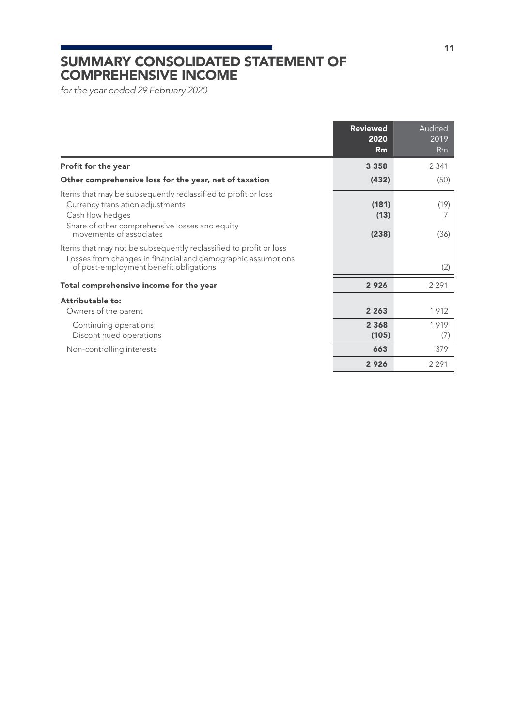### SUMMARY CONSOLIDATED STATEMENT OF COMPREHENSIVE INCOME

*for the year ended 29 February 2020*

|                                                                                                                                                                                                    | <b>Reviewed</b><br>2020<br>Rm | Audited<br>2019<br>Rm |
|----------------------------------------------------------------------------------------------------------------------------------------------------------------------------------------------------|-------------------------------|-----------------------|
| Profit for the year                                                                                                                                                                                | 3 3 5 8                       | 2.341                 |
| Other comprehensive loss for the year, net of taxation                                                                                                                                             | (432)                         | (50)                  |
| Items that may be subsequently reclassified to profit or loss<br>Currency translation adjustments<br>Cash flow hedges<br>Share of other comprehensive losses and equity<br>movements of associates | (181)<br>(13)<br>(238)        | (19)<br>7<br>(36)     |
| Items that may not be subsequently reclassified to profit or loss<br>Losses from changes in financial and demographic assumptions<br>of post-employment benefit obligations                        |                               | (2)                   |
| Total comprehensive income for the year                                                                                                                                                            | 2926                          | 2 2 9 1               |
| Attributable to:<br>Owners of the parent<br>Continuing operations<br>Discontinued operations                                                                                                       | 2 2 6 3<br>2 3 6 8<br>(105)   | 1912<br>1919<br>(7)   |
| Non-controlling interests                                                                                                                                                                          | 663                           | 379                   |
|                                                                                                                                                                                                    | 2926                          | 2 2 9 1               |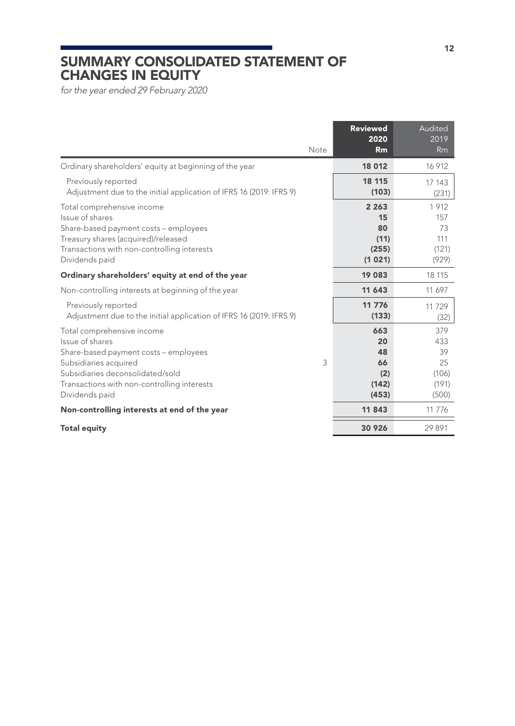### SUMMARY CONSOLIDATED STATEMENT OF CHANGES IN EQUITY

*for the year ended 29 February 2020*

| Note                                                                                                                                                                                                                      | <b>Reviewed</b><br>2020<br>Rm                  | Audited<br>2019<br><b>Rm</b>                      |
|---------------------------------------------------------------------------------------------------------------------------------------------------------------------------------------------------------------------------|------------------------------------------------|---------------------------------------------------|
| Ordinary shareholders' equity at beginning of the year                                                                                                                                                                    | 18 012                                         | 16 912                                            |
| Previously reported<br>Adjustment due to the initial application of IFRS 16 (2019: IFRS 9)                                                                                                                                | 18 115<br>(103)                                | 17 143<br>(231)                                   |
| Total comprehensive income<br>Issue of shares<br>Share-based payment costs - employees<br>Treasury shares (acquired)/released<br>Transactions with non-controlling interests<br>Dividends paid                            | 2 2 6 3<br>15<br>80<br>(11)<br>(255)<br>(1021) | 1912<br>157<br>73<br>111<br>(121)<br>(929)        |
| Ordinary shareholders' equity at end of the year                                                                                                                                                                          | 19 083                                         | 18 115                                            |
| Non-controlling interests at beginning of the year                                                                                                                                                                        | 11 643                                         | 11 697                                            |
| Previously reported<br>Adjustment due to the initial application of IFRS 16 (2019: IFRS 9)                                                                                                                                | 11 776<br>(133)                                | 11729<br>(32)                                     |
| Total comprehensive income<br>Issue of shares<br>Share-based payment costs - employees<br>3<br>Subsidiaries acquired<br>Subsidiaries deconsolidated/sold<br>Transactions with non-controlling interests<br>Dividends paid | 663<br>20<br>48<br>66<br>(2)<br>(142)<br>(453) | 379<br>433<br>39<br>25<br>(106)<br>(191)<br>(500) |
| Non-controlling interests at end of the year                                                                                                                                                                              | 11843                                          | 11 7 7 6                                          |
| <b>Total equity</b>                                                                                                                                                                                                       | 30 926                                         | 29891                                             |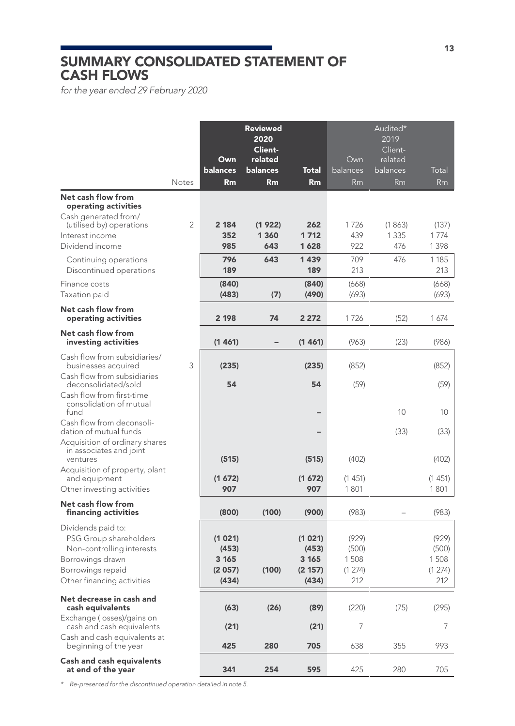### SUMMARY CONSOLIDATED STATEMENT OF CASH FLOWS

*for the year ended 29 February 2020* 

|                                                                                                                                                  |                | Own<br>balances                             | <b>Reviewed</b><br>2020<br>Client-<br>related<br>balances | Total                                         | Own<br>balances                         | Audited*<br>2019<br>Client-<br>related<br>balances | Total                                   |
|--------------------------------------------------------------------------------------------------------------------------------------------------|----------------|---------------------------------------------|-----------------------------------------------------------|-----------------------------------------------|-----------------------------------------|----------------------------------------------------|-----------------------------------------|
|                                                                                                                                                  | <b>Notes</b>   | Rm                                          | Rm                                                        | Rm                                            | Rm                                      | Rm                                                 | Rm                                      |
| Net cash flow from<br>operating activities<br>Cash generated from/<br>(utilised by) operations                                                   | $\overline{2}$ | 2 184                                       | (1922)                                                    | 262                                           | 1726                                    | (1863)                                             | (137)                                   |
| Interest income<br>Dividend income                                                                                                               |                | 352<br>985                                  | 1 360<br>643                                              | 1712<br>1628                                  | 439<br>922                              | 1 3 3 5<br>476                                     | 1774<br>1 3 9 8                         |
| Continuing operations<br>Discontinued operations                                                                                                 |                | 796<br>189                                  | 643                                                       | 1439<br>189                                   | 709<br>213                              | 476                                                | 1 1 8 5<br>213                          |
| Finance costs<br>Taxation paid                                                                                                                   |                | (840)<br>(483)                              | (7)                                                       | (840)<br>(490)                                | (668)<br>(693)                          |                                                    | (668)<br>(693)                          |
| <b>Net cash flow from</b><br>operating activities                                                                                                |                | 2 198                                       | 74                                                        | 2 2 7 2                                       | 1726                                    | (52)                                               | 1674                                    |
| Net cash flow from<br>investing activities                                                                                                       |                | (1461)                                      |                                                           | (1461)                                        | (963)                                   | (23)                                               | (986)                                   |
| Cash flow from subsidiaries/<br>businesses acquired                                                                                              | 3              | (235)                                       |                                                           | (235)                                         | (852)                                   |                                                    | (852)                                   |
| Cash flow from subsidiaries<br>deconsolidated/sold<br>Cash flow from first-time                                                                  |                | 54                                          |                                                           | 54                                            | (59)                                    |                                                    | (59)                                    |
| consolidation of mutual<br>fund                                                                                                                  |                |                                             |                                                           |                                               |                                         | 10                                                 | 10                                      |
| Cash flow from deconsoli-<br>dation of mutual funds<br>Acquisition of ordinary shares                                                            |                |                                             |                                                           |                                               |                                         | (33)                                               | (33)                                    |
| in associates and joint<br>ventures                                                                                                              |                | (515)                                       |                                                           | (515)                                         | (402)                                   |                                                    | (402)                                   |
| Acquisition of property, plant<br>and equipment<br>Other investing activities                                                                    |                | (1672)<br>907                               |                                                           | (1672)<br>907                                 | (1451)<br>1801                          |                                                    | (1451)<br>1801                          |
| Net cash flow from<br>financing activities                                                                                                       |                | (800)                                       | (100)                                                     | (900)                                         | (983)                                   |                                                    | (983)                                   |
| Dividends paid to:<br>PSG Group shareholders<br>Non-controlling interests<br>Borrowings drawn<br>Borrowings repaid<br>Other financing activities |                | (1021)<br>(453)<br>3 165<br>(2057)<br>(434) | (100)                                                     | (1 021)<br>(453)<br>3 165<br>(2 157)<br>(434) | (929)<br>(500)<br>1508<br>(1274)<br>212 |                                                    | (929)<br>(500)<br>1508<br>(1274)<br>212 |
| Net decrease in cash and<br>cash equivalents<br>Exchange (losses)/gains on                                                                       |                | (63)                                        | (26)                                                      | (89)                                          | (220)                                   | (75)                                               | (295)                                   |
| cash and cash equivalents                                                                                                                        |                | (21)                                        |                                                           | (21)                                          | 7                                       |                                                    | 7                                       |
| Cash and cash equivalents at<br>beginning of the year                                                                                            |                | 425                                         | 280                                                       | 705                                           | 638                                     | 355                                                | 993                                     |
| <b>Cash and cash equivalents</b><br>at end of the year                                                                                           |                | 341                                         | 254                                                       | 595                                           | 425                                     | 280                                                | 705                                     |

*\* Re-presented for the discontinued operation detailed in note 5.*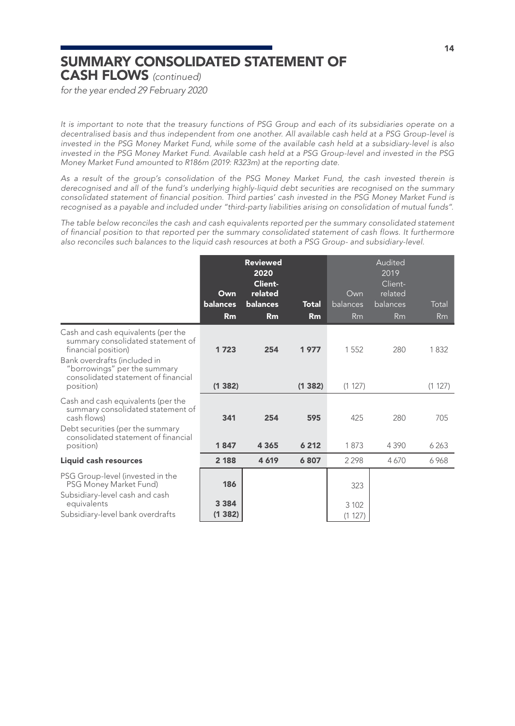### SUMMARY CONSOLIDATED STATEMENT OF CASH FLOWS *(continued)*

*for the year ended 29 February 2020*

*It is important to note that the treasury functions of PSG Group and each of its subsidiaries operate on a decentralised basis and thus independent from one another. All available cash held at a PSG Group-level is invested in the PSG Money Market Fund, while some of the available cash held at a subsidiary-level is also invested in the PSG Money Market Fund. Available cash held at a PSG Group-level and invested in the PSG Money Market Fund amounted to R186m (2019: R323m) at the reporting date.*

*As a result of the group's consolidation of the PSG Money Market Fund, the cash invested therein is derecognised and all of the fund's underlying highly-liquid debt securities are recognised on the summary consolidated statement of financial position. Third parties' cash invested in the PSG Money Market Fund is recognised as a payable and included under "third-party liabilities arising on consolidation of mutual funds".*

*The table below reconciles the cash and cash equivalents reported per the summary consolidated statement of financial position to that reported per the summary consolidated statement of cash flows. It furthermore also reconciles such balances to the liquid cash resources at both a PSG Group- and subsidiary-level.*

|                                                                                                                                | Own<br><b>balances</b><br>Rm | <b>Reviewed</b><br>2020<br><b>Client-</b><br>related<br>balances<br>Rm | <b>Total</b><br>Rm | Own<br>balances<br>Rm | Audited<br>2019<br>Client-<br>related<br>balances<br>Rm | Total<br><b>Rm</b> |
|--------------------------------------------------------------------------------------------------------------------------------|------------------------------|------------------------------------------------------------------------|--------------------|-----------------------|---------------------------------------------------------|--------------------|
| Cash and cash equivalents (per the<br>summary consolidated statement of<br>financial position)<br>Bank overdrafts (included in | 1723                         | 254                                                                    | 1977               | 1552                  | 280                                                     | 1832               |
| "borrowings" per the summary<br>consolidated statement of financial<br>position)                                               | (1382)                       |                                                                        | (1382)             | (1 127)               |                                                         | (1 127)            |
| Cash and cash equivalents (per the<br>summary consolidated statement of<br>cash flows)                                         | 341                          | 254                                                                    | 595                | 425                   | 280                                                     | 705                |
| Debt securities (per the summary<br>consolidated statement of financial<br>position)                                           | 1847                         | 4 3 6 5                                                                | 6212               | 1873                  | 4390                                                    | 6263               |
| Liquid cash resources                                                                                                          | 2 188                        | 4619                                                                   | 6807               | 2298                  | 4670                                                    | 6968               |
| PSG Group-level (invested in the<br>PSG Money Market Fund)<br>Subsidiary-level cash and cash                                   | 186                          |                                                                        |                    | 323                   |                                                         |                    |
| equivalents<br>Subsidiary-level bank overdrafts                                                                                | 3 3 8 4<br>(1382)            |                                                                        |                    | 3 1 0 2<br>(1 127)    |                                                         |                    |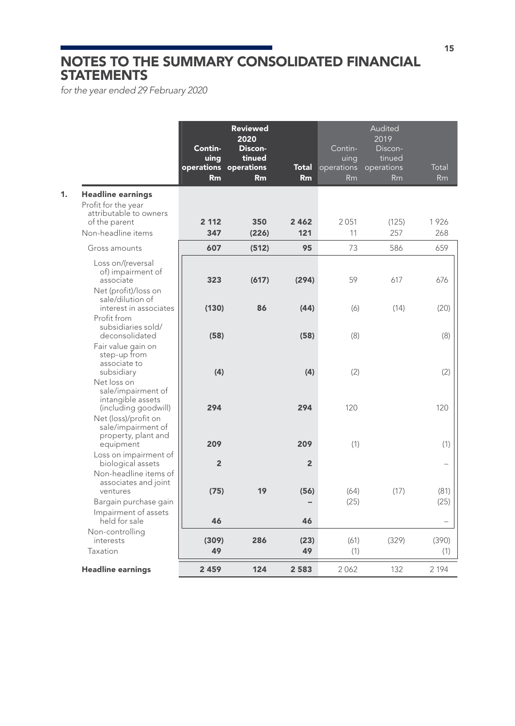### NOTES TO THE SUMMARY CONSOLIDATED FINANCIAL **STATEMENTS**

*for the year ended 29 February 2020*

|                                                                                         |                        | Contin-<br>uing<br>operations operations<br>Rm | <b>Reviewed</b><br>2020<br>Discon-<br>tinued<br>Rm | <b>Total</b><br>Rm | Contin-<br>uing<br>operations<br>Rm | Audited<br>2019<br>Discon-<br>tinued<br>operations<br>Rm | Total<br>Rm              |
|-----------------------------------------------------------------------------------------|------------------------|------------------------------------------------|----------------------------------------------------|--------------------|-------------------------------------|----------------------------------------------------------|--------------------------|
| 1.<br><b>Headline earnings</b><br>Profit for the year<br>attributable to owners         |                        |                                                |                                                    |                    |                                     |                                                          |                          |
| of the parent                                                                           |                        | 2 1 1 2                                        | 350                                                | 2 4 6 2            | 2051                                | (125)                                                    | 1926                     |
| Non-headline items                                                                      |                        | 347                                            | (226)                                              | 121                | 11                                  | 257                                                      | 268                      |
| Gross amounts                                                                           |                        | 607                                            | (512)                                              | 95                 | 73                                  | 586                                                      | 659                      |
| Loss on/(reversal<br>of) impairment of<br>associate<br>Net (profit)/loss on             |                        | 323                                            | (617)                                              | (294)              | 59                                  | 617                                                      | 676                      |
| sale/dilution of                                                                        | interest in associates | (130)                                          | 86                                                 | (44)               | (6)                                 | (14)                                                     | (20)                     |
| Profit from<br>subsidiaries sold/<br>deconsolidated<br>Fair value gain on               |                        | (58)                                           |                                                    | (58)               | (8)                                 |                                                          | (8)                      |
| step-up from<br>associate to<br>subsidiary<br>Net loss on<br>sale/impairment of         |                        | (4)                                            |                                                    | (4)                | (2)                                 |                                                          | (2)                      |
| intangible assets<br>(including goodwill)<br>Net (loss)/profit on<br>sale/impairment of |                        | 294                                            |                                                    | 294                | 120                                 |                                                          | 120                      |
| property, plant and<br>equipment                                                        |                        | 209                                            |                                                    | 209                | (1)                                 |                                                          | (1)                      |
| Loss on impairment of<br>biological assets                                              |                        | $\overline{2}$                                 |                                                    | $\overline{2}$     |                                     |                                                          | $\overline{\phantom{0}}$ |
| Non-headline items of<br>associates and joint<br>ventures                               |                        | (75)                                           | 19                                                 | (56)               | (64)                                | (17)                                                     | (81)                     |
| Bargain purchase gain                                                                   |                        |                                                |                                                    |                    | (25)                                |                                                          | (25)                     |
| Impairment of assets<br>held for sale                                                   |                        | 46                                             |                                                    | 46                 |                                     |                                                          | $\overline{\phantom{0}}$ |
| Non-controlling<br>interests<br>Taxation                                                |                        | (309)<br>49                                    | 286                                                | (23)<br>49         | (61)<br>(1)                         | (329)                                                    | (390)<br>(1)             |
|                                                                                         |                        |                                                |                                                    |                    |                                     |                                                          |                          |
| <b>Headline earnings</b>                                                                |                        | 2459                                           | 124                                                | 2 5 8 3            | 2062                                | 132                                                      | 2 1 9 4                  |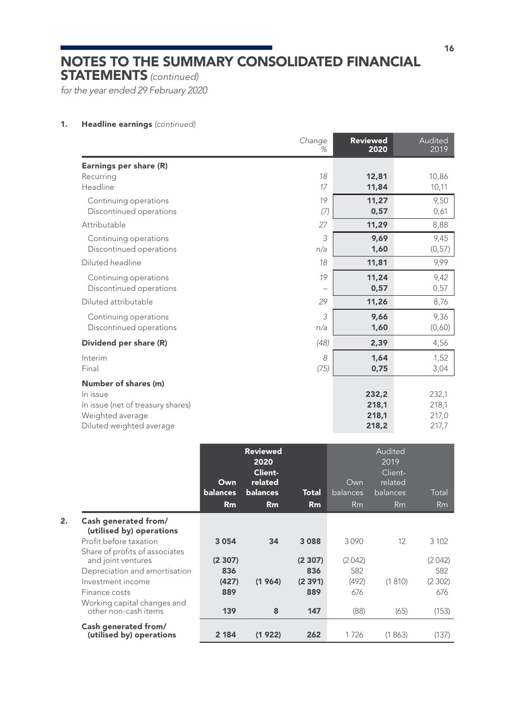STATEMENTS *(continued)*

*for the year ended 29 February 2020*

### 1. Headline earnings *(continued)*

|                                   | Change<br>%              | <b>Reviewed</b><br>2020 | Audited<br>2019 |
|-----------------------------------|--------------------------|-------------------------|-----------------|
| Earnings per share (R)            |                          |                         |                 |
| Recurring                         | 18                       | 12,81                   | 10,86           |
| Headline                          | 17                       | 11,84                   | 10,11           |
| Continuing operations             | 19                       | 11.27                   | 9,50            |
| Discontinued operations           | (7)                      | 0,57                    | 0,61            |
| Attributable                      | 27                       | 11,29                   | 8,88            |
| Continuing operations             | 3                        | 9,69                    | 9,45            |
| Discontinued operations           | n/a                      | 1,60                    | (0, 57)         |
| Diluted headline                  | 18                       | 11,81                   | 9,99            |
| Continuing operations             | 19                       | 11,24                   | 9,42            |
| Discontinued operations           | $\overline{\phantom{0}}$ | 0,57                    | 0,57            |
| Diluted attributable              | 29                       | 11,26                   | 8,76            |
| Continuing operations             | 3                        | 9.66                    | 9,36            |
| Discontinued operations           | n/a                      | 1,60                    | (0,60)          |
| Dividend per share (R)            | (48)                     | 2,39                    | 4,56            |
| Interim                           | 8                        | 1,64                    | 1,52            |
| Final                             | (75)                     | 0,75                    | 3,04            |
| Number of shares (m)              |                          |                         |                 |
| In issue                          |                          | 232,2                   | 232,1           |
| In issue (net of treasury shares) |                          | 218,1                   | 218,1           |
| Weighted average                  |                          | 218,1                   | 217,0           |
| Diluted weighted average          |                          | 218,2                   | 217,7           |

|                                                                                                            | Own<br><b>balances</b> | <b>Reviewed</b><br>2020<br>Client-<br>related<br>balances | Total         | Own<br>balances | Audited<br>2019<br>Client-<br>related<br>balances | Total         |
|------------------------------------------------------------------------------------------------------------|------------------------|-----------------------------------------------------------|---------------|-----------------|---------------------------------------------------|---------------|
|                                                                                                            | Rm                     | Rm                                                        | Rm            | Rm              | Rm                                                | Rm            |
| 2.<br>Cash generated from/<br>(utilised by) operations                                                     |                        |                                                           |               |                 |                                                   |               |
| Profit before taxation                                                                                     | 3 0 5 4                | 34                                                        | 3088          | 3090            | $12^{12}$                                         | 3 1 0 2       |
| Share of profits of associates<br>and joint ventures<br>Depreciation and amortisation<br>Investment income | (2307)<br>836          |                                                           | (2307)<br>836 | (2042)<br>582   |                                                   | (2042)<br>582 |
| Finance costs                                                                                              | (427)<br>889           | (1964)                                                    | (2391)<br>889 | (492)<br>676    | (1810)                                            | (2302)<br>676 |
| Working capital changes and<br>other non-cash items                                                        | 139                    | 8                                                         | 147           | (88)            | (65)                                              | (153)         |
| Cash generated from/<br>(utilised by) operations                                                           | 2 1 8 4                | (1922)                                                    | 262           | 1726            | (1863)                                            | (137)         |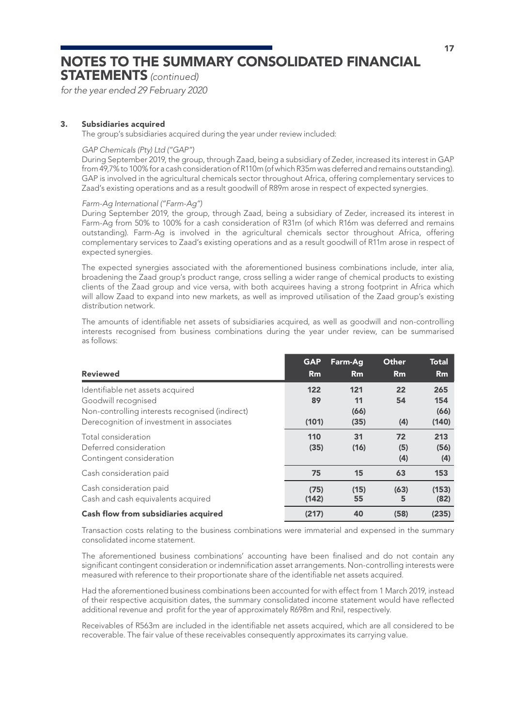STATEMENTS *(continued)*

*for the year ended 29 February 2020*

### 3. Subsidiaries acquired

The group's subsidiaries acquired during the year under review included:

#### *GAP Chemicals (Pty) Ltd ("GAP")*

During September 2019, the group, through Zaad, being a subsidiary of Zeder, increased its interest in GAP from 49,7% to 100% for a cash consideration of R110m (of which R35m was deferred and remains outstanding). GAP is involved in the agricultural chemicals sector throughout Africa, offering complementary services to Zaad's existing operations and as a result goodwill of R89m arose in respect of expected synergies.

### *Farm-Ag International ("Farm-Ag")*

During September 2019, the group, through Zaad, being a subsidiary of Zeder, increased its interest in Farm-Ag from 50% to 100% for a cash consideration of R31m (of which R16m was deferred and remains outstanding). Farm-Ag is involved in the agricultural chemicals sector throughout Africa, offering complementary services to Zaad's existing operations and as a result goodwill of R11m arose in respect of expected synergies.

The expected synergies associated with the aforementioned business combinations include, inter alia, broadening the Zaad group's product range, cross selling a wider range of chemical products to existing clients of the Zaad group and vice versa, with both acquirees having a strong footprint in Africa which will allow Zaad to expand into new markets, as well as improved utilisation of the Zaad group's existing distribution network.

The amounts of identifiable net assets of subsidiaries acquired, as well as goodwill and non-controlling interests recognised from business combinations during the year under review, can be summarised as follows:

| <b>Reviewed</b>                                                                                                                                         | <b>GAP</b><br>Rm   | Farm-Aq<br>Rm             | Other<br>Rm      | <b>Total</b><br><b>Rm</b>   |
|---------------------------------------------------------------------------------------------------------------------------------------------------------|--------------------|---------------------------|------------------|-----------------------------|
| Identifiable net assets acquired<br>Goodwill recognised<br>Non-controlling interests recognised (indirect)<br>Derecognition of investment in associates | 122<br>89<br>(101) | 121<br>11<br>(66)<br>(35) | 22<br>54<br>(4)  | 265<br>154<br>(66)<br>(140) |
| Total consideration<br>Deferred consideration<br>Contingent consideration                                                                               | 110<br>(35)        | 31<br>(16)                | 72<br>(5)<br>(4) | 213<br>(56)<br>(4)          |
| Cash consideration paid                                                                                                                                 | 75                 | 15                        | 63               | 153                         |
| Cash consideration paid<br>Cash and cash equivalents acquired                                                                                           | (75)<br>(142)      | (15)<br>55                | (63)<br>5        | (153)<br>(82)               |
| <b>Cash flow from subsidiaries acquired</b>                                                                                                             | (217)              | 40                        | (58)             | (235)                       |

Transaction costs relating to the business combinations were immaterial and expensed in the summary consolidated income statement.

The aforementioned business combinations' accounting have been finalised and do not contain any significant contingent consideration or indemnification asset arrangements. Non-controlling interests were measured with reference to their proportionate share of the identifiable net assets acquired.

Had the aforementioned business combinations been accounted for with effect from 1 March 2019, instead of their respective acquisition dates, the summary consolidated income statement would have reflected additional revenue and profit for the year of approximately R698m and Rnil, respectively.

Receivables of R563m are included in the identifiable net assets acquired, which are all considered to be recoverable. The fair value of these receivables consequently approximates its carrying value.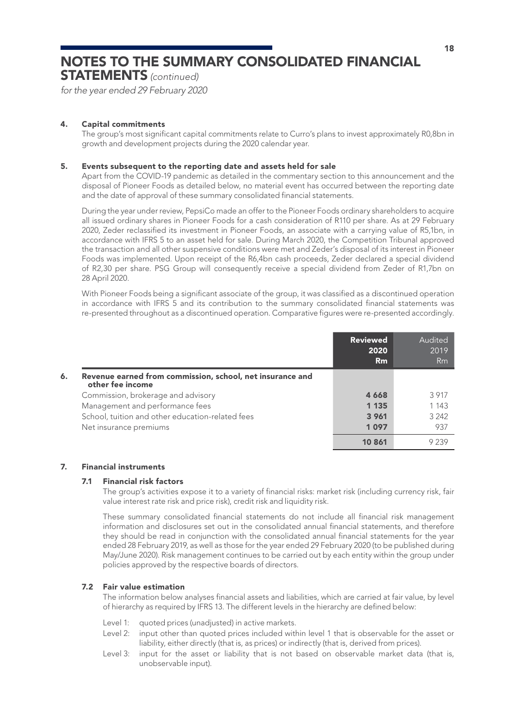STATEMENTS *(continued)*

*for the year ended 29 February 2020*

### 4. Capital commitments

The group's most significant capital commitments relate to Curro's plans to invest approximately R0,8bn in growth and development projects during the 2020 calendar year.

### 5. Events subsequent to the reporting date and assets held for sale

Apart from the COVID-19 pandemic as detailed in the commentary section to this announcement and the disposal of Pioneer Foods as detailed below, no material event has occurred between the reporting date and the date of approval of these summary consolidated financial statements.

During the year under review, PepsiCo made an offer to the Pioneer Foods ordinary shareholders to acquire all issued ordinary shares in Pioneer Foods for a cash consideration of R110 per share. As at 29 February 2020, Zeder reclassified its investment in Pioneer Foods, an associate with a carrying value of R5,1bn, in accordance with IFRS 5 to an asset held for sale. During March 2020, the Competition Tribunal approved the transaction and all other suspensive conditions were met and Zeder's disposal of its interest in Pioneer Foods was implemented. Upon receipt of the R6,4bn cash proceeds, Zeder declared a special dividend of R2,30 per share. PSG Group will consequently receive a special dividend from Zeder of R1,7bn on 28 April 2020.

With Pioneer Foods being a significant associate of the group, it was classified as a discontinued operation in accordance with IFRS 5 and its contribution to the summary consolidated financial statements was re-presented throughout as a discontinued operation. Comparative figures were re-presented accordingly.

|                                                                                     | <b>Reviewed</b><br>2020<br>Rm | Audited<br>2019<br>Rm |
|-------------------------------------------------------------------------------------|-------------------------------|-----------------------|
| Revenue earned from commission, school, net insurance and<br>6.<br>other fee income |                               |                       |
| Commission, brokerage and advisory                                                  | 4 6 6 8                       | 3917                  |
| Management and performance fees                                                     | 1 1 3 5                       | 1 1 4 3               |
| School, tuition and other education-related fees                                    | 3 9 6 1                       | 3 2 4 2               |
| Net insurance premiums                                                              | 1097                          | 937                   |
|                                                                                     | 10 861                        |                       |

### 7. Financial instruments

### 7.1 Financial risk factors

The group's activities expose it to a variety of financial risks: market risk (including currency risk, fair value interest rate risk and price risk), credit risk and liquidity risk.

These summary consolidated financial statements do not include all financial risk management information and disclosures set out in the consolidated annual financial statements, and therefore they should be read in conjunction with the consolidated annual financial statements for the year ended 28 February 2019, as well as those for the year ended 29 February 2020 (to be published during May/June 2020). Risk management continues to be carried out by each entity within the group under policies approved by the respective boards of directors.

### 7.2 Fair value estimation

The information below analyses financial assets and liabilities, which are carried at fair value, by level of hierarchy as required by IFRS 13. The different levels in the hierarchy are defined below:

- Level 1: quoted prices (unadjusted) in active markets.
- Level 2: input other than quoted prices included within level 1 that is observable for the asset or liability, either directly (that is, as prices) or indirectly (that is, derived from prices).
- Level 3: input for the asset or liability that is not based on observable market data (that is, unobservable input).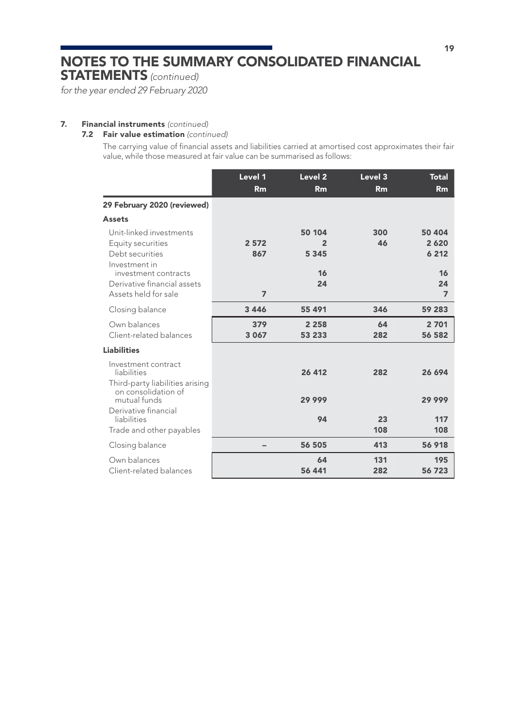STATEMENTS *(continued)*

*for the year ended 29 February 2020*

### 7. Financial instruments *(continued)*

### 7.2 Fair value estimation *(continued)*

The carrying value of financial assets and liabilities carried at amortised cost approximates their fair value, while those measured at fair value can be summarised as follows:

|                                                                                              | Level 1<br><b>Rm</b> | Level <sub>2</sub><br>Rm            | Level 3<br>Rm | <b>Total</b><br>Rm        |
|----------------------------------------------------------------------------------------------|----------------------|-------------------------------------|---------------|---------------------------|
| 29 February 2020 (reviewed)                                                                  |                      |                                     |               |                           |
| <b>Assets</b>                                                                                |                      |                                     |               |                           |
| Unit-linked investments<br>Equity securities<br>Debt securities<br>Investment in             | 2572<br>867          | 50 104<br>$\overline{2}$<br>5 3 4 5 | 300<br>46     | 50 404<br>2620<br>6 2 1 2 |
| investment contracts<br>Derivative financial assets<br>Assets held for sale                  | $\overline{7}$       | 16<br>24                            |               | 16<br>24<br>7             |
| Closing balance                                                                              | 3 4 4 6              | 55 491                              | 346           | 59 283                    |
| Own balances<br>Client-related balances                                                      | 379<br>3 0 6 7       | 2 2 5 8<br>53 233                   | 64<br>282     | 2 701<br>56 582           |
| <b>Liabilities</b>                                                                           |                      |                                     |               |                           |
| Investment contract<br>liabilities<br>Third-party liabilities arising<br>on consolidation of |                      | 26 412                              | 282           | 26 694                    |
| mutual funds<br>Derivative financial                                                         |                      | 29 999                              |               | 29 999                    |
| liabilities<br>Trade and other payables                                                      |                      | 94                                  | 23<br>108     | 117<br>108                |
| Closing balance                                                                              |                      | 56 505                              | 413           | 56 918                    |
| Own balances<br>Client-related balances                                                      |                      | 64<br>56 441                        | 131<br>282    | 195<br>56 723             |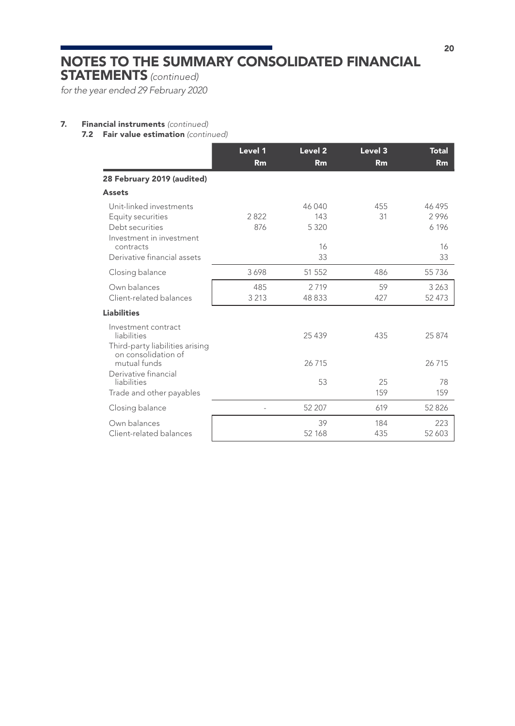STATEMENTS *(continued)*

*for the year ended 29 February 2020*

### 7. Financial instruments *(continued)*

7.2 Fair value estimation *(continued)*

|                                                                                                          | Level 1<br>Rm  | Level <sub>2</sub><br>Rm       | Level 3<br>Rm | <b>Total</b><br>Rm            |
|----------------------------------------------------------------------------------------------------------|----------------|--------------------------------|---------------|-------------------------------|
| 28 February 2019 (audited)                                                                               |                |                                |               |                               |
| <b>Assets</b>                                                                                            |                |                                |               |                               |
| Unit-linked investments<br>Equity securities<br>Debt securities<br>Investment in investment<br>contracts | 2822<br>876    | 46 040<br>143<br>5 3 2 0<br>16 | 455<br>31     | 46 495<br>2996<br>6 196<br>16 |
| Derivative financial assets                                                                              |                | 33                             |               | 33                            |
| Closing balance                                                                                          | 3698           | 51 552                         | 486           | 55 7 36                       |
| Own balances<br>Client-related balances                                                                  | 485<br>3 2 1 3 | 2719<br>48833                  | 59<br>427     | 3 2 6 3<br>52 473             |
| <b>Liabilities</b>                                                                                       |                |                                |               |                               |
| Investment contract<br>liabilities<br>Third-party liabilities arising<br>on consolidation of             |                | 25 4 39                        | 435           | 25 874                        |
| mutual funds<br>Derivative financial                                                                     |                | 26715                          |               | 26715                         |
| liabilities<br>Trade and other payables                                                                  |                | 53                             | 25<br>159     | 78<br>159                     |
| Closing balance                                                                                          | $\overline{a}$ | 52 207                         | 619           | 52 8 26                       |
| Own balances<br>Client-related balances                                                                  |                | 39<br>52 168                   | 184<br>435    | 223<br>52 603                 |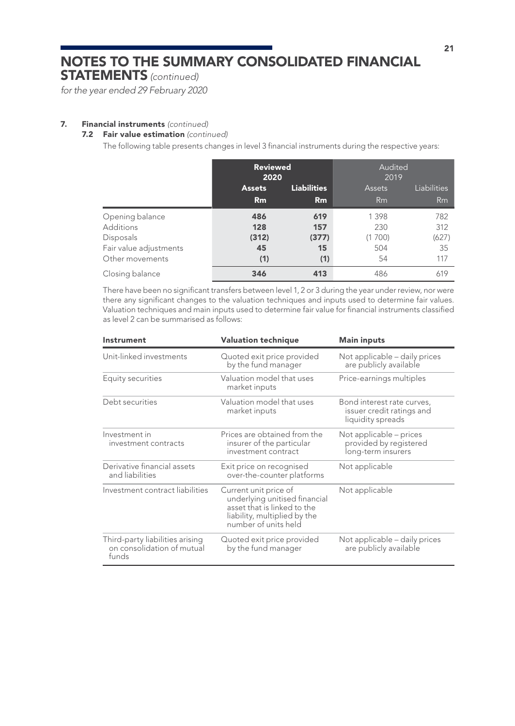STATEMENTS *(continued)*

*for the year ended 29 February 2020*

### 7. Financial instruments *(continued)*

### 7.2 Fair value estimation *(continued)*

The following table presents changes in level 3 financial instruments during the respective years:

|                        | <b>Reviewed</b><br>2020             |       | Audited<br>2019 |             |
|------------------------|-------------------------------------|-------|-----------------|-------------|
|                        | <b>Liabilities</b><br><b>Assets</b> |       | <b>Assets</b>   | Liabilities |
|                        | Rm                                  | Rm    | Rm              | Rm          |
| Opening balance        | 486                                 | 619   | 1 3 9 8         | 782         |
| <b>Additions</b>       | 128                                 | 157   | 230             | 312         |
| Disposals              | (312)                               | (377) | (1700)          | (627)       |
| Fair value adjustments | 45                                  | 15    | 504             | 35          |
| Other movements        | (1)                                 | (1)   | 54              | 117         |
| Closing balance        | 346                                 | 413   | 486             | 619         |

There have been no significant transfers between level 1, 2 or 3 during the year under review, nor were there any significant changes to the valuation techniques and inputs used to determine fair values. Valuation techniques and main inputs used to determine fair value for financial instruments classified as level 2 can be summarised as follows:

| Instrument                                                             | <b>Valuation technique</b>                                                                                                                    | <b>Main inputs</b>                                                           |
|------------------------------------------------------------------------|-----------------------------------------------------------------------------------------------------------------------------------------------|------------------------------------------------------------------------------|
| Unit-linked investments                                                | Quoted exit price provided<br>by the fund manager                                                                                             | Not applicable - daily prices<br>are publicly available                      |
| Equity securities                                                      | Valuation model that uses<br>market inputs                                                                                                    | Price-earnings multiples                                                     |
| Debt securities                                                        | Valuation model that uses<br>market inputs                                                                                                    | Bond interest rate curves,<br>issuer credit ratings and<br>liquidity spreads |
| Investment in<br>investment contracts                                  | Prices are obtained from the<br>insurer of the particular<br>investment contract                                                              | Not applicable – prices<br>provided by registered<br>long-term insurers      |
| Derivative financial assets<br>and liabilities                         | Exit price on recognised<br>over-the-counter platforms                                                                                        | Not applicable                                                               |
| Investment contract liabilities                                        | Current unit price of<br>underlying unitised financial<br>asset that is linked to the<br>liability, multiplied by the<br>number of units held | Not applicable                                                               |
| Third-party liabilities arising<br>on consolidation of mutual<br>funds | Quoted exit price provided<br>by the fund manager                                                                                             | Not applicable – daily prices<br>are publicly available                      |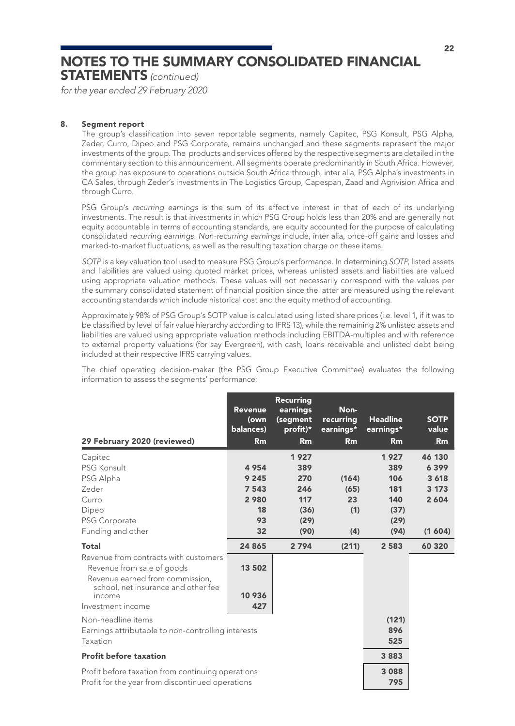STATEMENTS *(continued)*

*for the year ended 29 February 2020*

### 8. Segment report

The group's classification into seven reportable segments, namely Capitec, PSG Konsult, PSG Alpha, Zeder, Curro, Dipeo and PSG Corporate, remains unchanged and these segments represent the major investments of the group. The products and services offered by the respective segments are detailed in the commentary section to this announcement. All segments operate predominantly in South Africa. However, the group has exposure to operations outside South Africa through, inter alia, PSG Alpha's investments in CA Sales, through Zeder's investments in The Logistics Group, Capespan, Zaad and Agrivision Africa and through Curro.

PSG Group's *recurring earnings* is the sum of its effective interest in that of each of its underlying investments. The result is that investments in which PSG Group holds less than 20% and are generally not equity accountable in terms of accounting standards, are equity accounted for the purpose of calculating consolidated *recurring earnings*. *Non-recurring earnings* include, inter alia, once-off gains and losses and marked-to-market fluctuations, as well as the resulting taxation charge on these items.

*SOTP* is a key valuation tool used to measure PSG Group's performance. In determining *SOTP*, listed assets and liabilities are valued using quoted market prices, whereas unlisted assets and liabilities are valued using appropriate valuation methods. These values will not necessarily correspond with the values per the summary consolidated statement of financial position since the latter are measured using the relevant accounting standards which include historical cost and the equity method of accounting.

Approximately 98% of PSG Group's SOTP value is calculated using listed share prices (i.e. level 1, if it was to be classified by level of fair value hierarchy according to IFRS 13), while the remaining 2% unlisted assets and liabilities are valued using appropriate valuation methods including EBITDA-multiples and with reference to external property valuations (for say Evergreen), with cash, loans receivable and unlisted debt being included at their respective IFRS carrying values.

The chief operating decision-maker (the PSG Group Executive Committee) evaluates the following information to assess the segments' performance:

| 29 February 2020 (reviewed)                                                                                                                   | <b>Revenue</b><br>(own<br>balances)<br>Rm | <b>Recurring</b><br>earnings<br>(segment<br>profit)*<br>Rm | Non-<br>recurring<br>earnings*<br>Rm | <b>Headline</b><br>earnings*<br>Rm | <b>SOTP</b><br>value<br>Rm |
|-----------------------------------------------------------------------------------------------------------------------------------------------|-------------------------------------------|------------------------------------------------------------|--------------------------------------|------------------------------------|----------------------------|
| Capitec                                                                                                                                       |                                           | 1927                                                       |                                      | 1927                               | 46 130                     |
| PSG Konsult                                                                                                                                   | 4954                                      | 389                                                        |                                      | 389                                | 6399                       |
| PSG Alpha                                                                                                                                     | 9 2 4 5                                   | 270                                                        | (164)                                | 106                                | 3 6 18                     |
| Zeder                                                                                                                                         | 7 5 4 3                                   | 246                                                        | (65)                                 | 181                                | 3 1 7 3                    |
| Curro                                                                                                                                         | 2980                                      | 117                                                        | 23                                   | 140                                | 2 6 0 4                    |
| Dipeo                                                                                                                                         | 18                                        | (36)                                                       | (1)                                  | (37)                               |                            |
| PSG Corporate                                                                                                                                 | 93                                        | (29)                                                       |                                      | (29)                               |                            |
| Funding and other                                                                                                                             | 32                                        | (90)                                                       | (4)                                  | (94)                               | (1, 604)                   |
| <b>Total</b>                                                                                                                                  | 24 865                                    | 2 7 9 4                                                    | (211)                                | 2 5 8 3                            | 60 320                     |
| Revenue from contracts with customers<br>Revenue from sale of goods<br>Revenue earned from commission,<br>school, net insurance and other fee | 13 502                                    |                                                            |                                      |                                    |                            |
| income                                                                                                                                        | 10 936                                    |                                                            |                                      |                                    |                            |
| Investment income                                                                                                                             | 427                                       |                                                            |                                      |                                    |                            |
| Non-headline items                                                                                                                            |                                           |                                                            |                                      | (121)                              |                            |
| Earnings attributable to non-controlling interests                                                                                            |                                           |                                                            |                                      | 896                                |                            |
| Taxation                                                                                                                                      |                                           |                                                            |                                      | 525                                |                            |
| <b>Profit before taxation</b>                                                                                                                 |                                           |                                                            |                                      | 3883                               |                            |
| Profit before taxation from continuing operations<br>Profit for the year from discontinued operations                                         |                                           |                                                            |                                      | 3088<br>795                        |                            |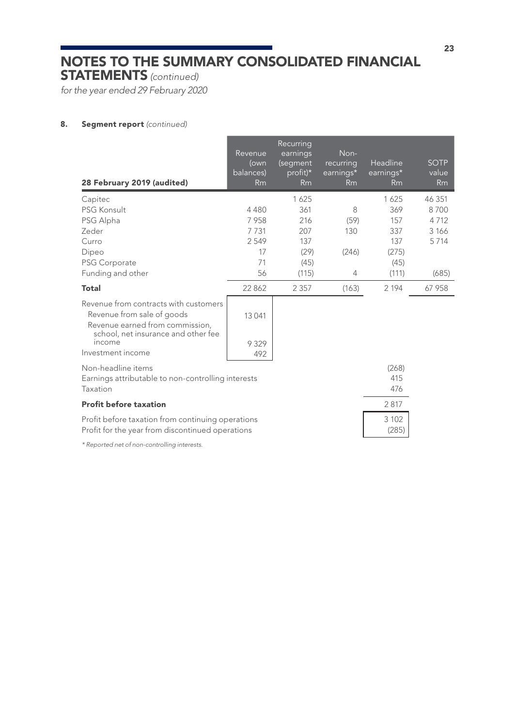STATEMENTS *(continued)*

*for the year ended 29 February 2020*

### 8. Segment report *(continued)*

| 28 February 2019 (audited)                                                                                                                    | Revenue<br>(own<br>balances)<br>Rm | Recurring<br>earnings<br>(segment<br>profit)*<br>Rm | Non-<br>recurring<br>earnings*<br>Rm | Headline<br>$earnings*$<br>Rm | <b>SOTP</b><br>value<br>Rm |
|-----------------------------------------------------------------------------------------------------------------------------------------------|------------------------------------|-----------------------------------------------------|--------------------------------------|-------------------------------|----------------------------|
| Capitec                                                                                                                                       |                                    | 1625                                                |                                      | 1625                          | 46 351                     |
| PSG Konsult                                                                                                                                   | 4480                               | 361                                                 | 8                                    | 369                           | 8700                       |
| PSG Alpha                                                                                                                                     | 7958                               | 216                                                 | (59)                                 | 157                           | 4712                       |
| Zeder                                                                                                                                         | 7731                               | 207                                                 | 130                                  | 337                           | 3 1 6 6                    |
| Curro                                                                                                                                         | 2549                               | 137                                                 |                                      | 137                           | 5714                       |
| Dipeo                                                                                                                                         | 17                                 | (29)                                                | (246)                                | (275)                         |                            |
| PSG Corporate                                                                                                                                 | 71                                 | (45)                                                |                                      | (45)                          |                            |
| Funding and other                                                                                                                             | 56                                 | (115)                                               | 4                                    | (111)                         | (685)                      |
| <b>Total</b>                                                                                                                                  | 22 8 6 2                           | 2 3 5 7                                             | (163)                                | 2 1 9 4                       | 67 958                     |
| Revenue from contracts with customers<br>Revenue from sale of goods<br>Revenue earned from commission.<br>school, net insurance and other fee | 13 041                             |                                                     |                                      |                               |                            |
| income                                                                                                                                        | 9 3 2 9                            |                                                     |                                      |                               |                            |
| Investment income                                                                                                                             | 492                                |                                                     |                                      |                               |                            |
| Non-headline items<br>Earnings attributable to non-controlling interests                                                                      |                                    |                                                     |                                      | (268)<br>415                  |                            |
| Taxation                                                                                                                                      |                                    |                                                     |                                      | 476                           |                            |
| <b>Profit before taxation</b>                                                                                                                 |                                    |                                                     |                                      | 2817                          |                            |
| Profit before taxation from continuing operations<br>Profit for the year from discontinued operations                                         |                                    |                                                     |                                      | 3 1 0 2<br>(285)              |                            |

*\* Reported net of non-controlling interests.*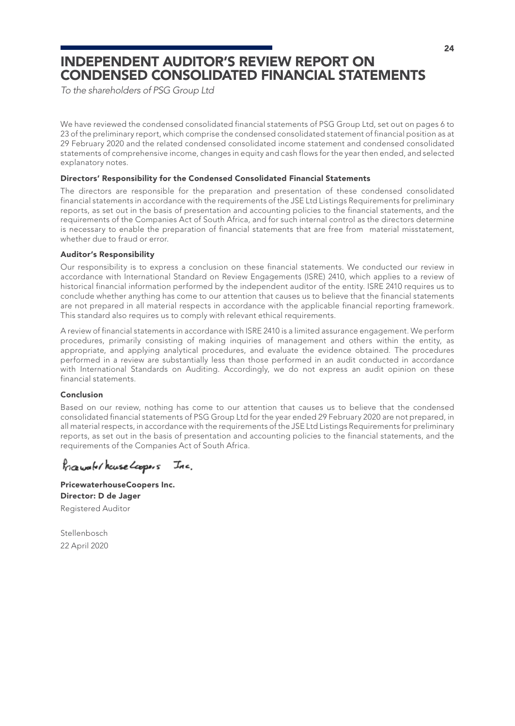### INDEPENDENT AUDITOR'S REVIEW REPORT ON CONDENSED CONSOLIDATED FINANCIAL STATEMENTS

*To the shareholders of PSG Group Ltd*

We have reviewed the condensed consolidated financial statements of PSG Group Ltd, set out on pages 6 to 23 of the preliminary report, which comprise the condensed consolidated statement of financial position as at 29 February 2020 and the related condensed consolidated income statement and condensed consolidated statements of comprehensive income, changes in equity and cash flows for the year then ended, and selected explanatory notes.

### Directors' Responsibility for the Condensed Consolidated Financial Statements

The directors are responsible for the preparation and presentation of these condensed consolidated financial statements in accordance with the requirements of the JSE Ltd Listings Requirements for preliminary reports, as set out in the basis of presentation and accounting policies to the financial statements, and the requirements of the Companies Act of South Africa, and for such internal control as the directors determine is necessary to enable the preparation of financial statements that are free from material misstatement, whether due to fraud or error.

### Auditor's Responsibility

Our responsibility is to express a conclusion on these financial statements. We conducted our review in accordance with International Standard on Review Engagements (ISRE) 2410, which applies to a review of historical financial information performed by the independent auditor of the entity. ISRE 2410 requires us to conclude whether anything has come to our attention that causes us to believe that the financial statements are not prepared in all material respects in accordance with the applicable financial reporting framework. This standard also requires us to comply with relevant ethical requirements.

A review of financial statements in accordance with ISRE 2410 is a limited assurance engagement. We perform procedures, primarily consisting of making inquiries of management and others within the entity, as appropriate, and applying analytical procedures, and evaluate the evidence obtained. The procedures performed in a review are substantially less than those performed in an audit conducted in accordance with International Standards on Auditing. Accordingly, we do not express an audit opinion on these financial statements.

### Conclusion

Based on our review, nothing has come to our attention that causes us to believe that the condensed consolidated financial statements of PSG Group Ltd for the year ended 29 February 2020 are not prepared, in all material respects, in accordance with the requirements of the JSE Ltd Listings Requirements for preliminary reports, as set out in the basis of presentation and accounting policies to the financial statements, and the requirements of the Companies Act of South Africa.

Progresse/house Loopers Inc.

PricewaterhouseCoopers Inc. Director: D de Jager Registered Auditor

Stellenbosch 22 April 2020